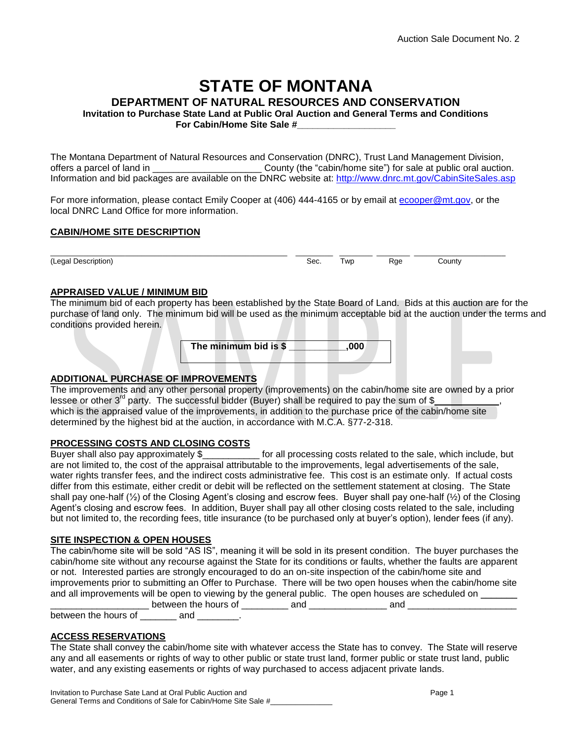# **STATE OF MONTANA**

**DEPARTMENT OF NATURAL RESOURCES AND CONSERVATION**

**Invitation to Purchase State Land at Public Oral Auction and General Terms and Conditions For Cabin/Home Site Sale #\_\_\_\_\_\_\_\_\_\_\_\_\_\_\_\_\_\_\_**

The Montana Department of Natural Resources and Conservation (DNRC), Trust Land Management Division, offers a parcel of land in \_\_\_\_\_\_\_\_\_\_\_\_\_\_\_\_\_\_\_\_\_ County (the "cabin/home site") for sale at public oral auction. Information and bid packages are available on the DNRC website at: <http://www.dnrc.mt.gov/CabinSiteSales.asp>

For more information, please contact Emily Cooper at (406) 444-4165 or by email at [ecooper@mt.gov,](mailto:ecooper@mt.gov) or the local DNRC Land Office for more information.

#### **CABIN/HOME SITE DESCRIPTION**

(Legal Description) **Sec.** Twp Rge County

\_\_\_\_\_\_\_\_\_\_\_\_\_\_\_\_\_\_\_\_\_\_\_\_\_\_\_\_\_\_\_\_\_\_\_\_\_\_\_\_\_\_\_\_\_\_\_\_\_\_\_\_\_\_\_\_\_ \_\_\_\_\_\_\_\_\_ \_\_\_\_\_\_\_\_ \_\_\_\_\_\_\_\_ \_\_\_\_\_\_\_\_\_\_\_\_\_\_\_\_\_\_\_\_\_\_

## **APPRAISED VALUE / MINIMUM BID**

The minimum bid of each property has been established by the State Board of Land. Bids at this auction are for the purchase of land only. The minimum bid will be used as the minimum acceptable bid at the auction under the terms and conditions provided herein.

| The minimum bid is \$ |  |  | .000 |  |
|-----------------------|--|--|------|--|
|                       |  |  |      |  |

## **ADDITIONAL PURCHASE OF IMPROVEMENTS**

The improvements and any other personal property (improvements) on the cabin/home site are owned by a prior lessee or other  $3^{rd}$  party. The successful bidder (Buyer) shall be required to pay the sum of \$ which is the appraised value of the improvements, in addition to the purchase price of the cabin/home site determined by the highest bid at the auction, in accordance with M.C.A. §77-2-318.

## **PROCESSING COSTS AND CLOSING COSTS**

Buyer shall also pay approximately \$\_\_\_\_\_\_\_\_\_\_\_ for all processing costs related to the sale, which include, but are not limited to, the cost of the appraisal attributable to the improvements, legal advertisements of the sale, water rights transfer fees, and the indirect costs administrative fee. This cost is an estimate only. If actual costs differ from this estimate, either credit or debit will be reflected on the settlement statement at closing. The State shall pay one-half ( $\frac{1}{2}$ ) of the Closing Agent's closing and escrow fees. Buyer shall pay one-half ( $\frac{1}{2}$ ) of the Closing Agent's closing and escrow fees. In addition, Buyer shall pay all other closing costs related to the sale, including but not limited to, the recording fees, title insurance (to be purchased only at buyer's option), lender fees (if any).

## **SITE INSPECTION & OPEN HOUSES**

The cabin/home site will be sold "AS IS", meaning it will be sold in its present condition. The buyer purchases the cabin/home site without any recourse against the State for its conditions or faults, whether the faults are apparent or not. Interested parties are strongly encouraged to do an on-site inspection of the cabin/home site and improvements prior to submitting an Offer to Purchase. There will be two open houses when the cabin/home site and all improvements will be open to viewing by the general public. The open houses are scheduled on \_\_\_\_\_\_\_\_\_\_\_\_\_\_\_\_\_\_\_ between the hours of \_\_\_\_\_\_\_\_\_ and \_\_\_\_\_\_\_\_\_\_\_\_\_\_\_ and \_\_\_\_\_\_\_\_\_\_\_\_\_\_\_\_\_\_\_\_\_

between the hours of \_\_\_\_\_\_\_ and \_\_\_\_\_\_\_.

## **ACCESS RESERVATIONS**

The State shall convey the cabin/home site with whatever access the State has to convey. The State will reserve any and all easements or rights of way to other public or state trust land, former public or state trust land, public water, and any existing easements or rights of way purchased to access adjacent private lands.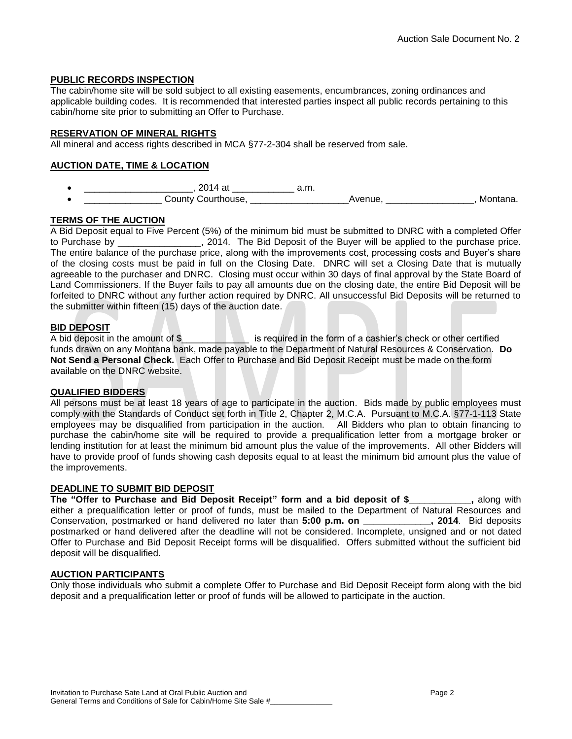## **PUBLIC RECORDS INSPECTION**

The cabin/home site will be sold subject to all existing easements, encumbrances, zoning ordinances and applicable building codes. It is recommended that interested parties inspect all public records pertaining to this cabin/home site prior to submitting an Offer to Purchase.

## **RESERVATION OF MINERAL RIGHTS**

All mineral and access rights described in MCA §77-2-304 shall be reserved from sale.

# **AUCTION DATE, TIME & LOCATION**

| __                        | m<br><u>u.ii.</u> |  |
|---------------------------|-------------------|--|
| <b>County</b><br>וור<br>. | __                |  |

# **TERMS OF THE AUCTION**

A Bid Deposit equal to Five Percent (5%) of the minimum bid must be submitted to DNRC with a completed Offer to Purchase by \_\_\_\_\_\_\_\_\_\_\_\_\_\_\_\_, 2014. The Bid Deposit of the Buyer will be applied to the purchase price. The entire balance of the purchase price, along with the improvements cost, processing costs and Buyer's share of the closing costs must be paid in full on the Closing Date. DNRC will set a Closing Date that is mutually agreeable to the purchaser and DNRC. Closing must occur within 30 days of final approval by the State Board of Land Commissioners. If the Buyer fails to pay all amounts due on the closing date, the entire Bid Deposit will be forfeited to DNRC without any further action required by DNRC. All unsuccessful Bid Deposits will be returned to the submitter within fifteen (15) days of the auction date.

## **BID DEPOSIT**

A bid deposit in the amount of \$\_\_\_\_\_\_\_\_\_\_\_\_\_\_\_\_\_\_ is required in the form of a cashier's check or other certified funds drawn on any Montana bank, made payable to the Department of Natural Resources & Conservation. **Do Not Send a Personal Check.** Each Offer to Purchase and Bid Deposit Receipt must be made on the form available on the DNRC website.

## **QUALIFIED BIDDERS**

All persons must be at least 18 years of age to participate in the auction. Bids made by public employees must comply with the Standards of Conduct set forth in Title 2, Chapter 2, M.C.A. Pursuant to M.C.A. §77-1-113 State employees may be disqualified from participation in the auction. All Bidders who plan to obtain financing to purchase the cabin/home site will be required to provide a prequalification letter from a mortgage broker or lending institution for at least the minimum bid amount plus the value of the improvements. All other Bidders will have to provide proof of funds showing cash deposits equal to at least the minimum bid amount plus the value of the improvements.

## **DEADLINE TO SUBMIT BID DEPOSIT**

**The "Offer to Purchase and Bid Deposit Receipt" form and a bid deposit of \$\_\_\_\_\_\_\_\_\_\_\_\_,** along with either a prequalification letter or proof of funds, must be mailed to the Department of Natural Resources and Conservation, postmarked or hand delivered no later than **5:00 p.m. on \_\_\_\_\_\_\_\_\_\_\_\_\_, 2014**. Bid deposits postmarked or hand delivered after the deadline will not be considered. Incomplete, unsigned and or not dated Offer to Purchase and Bid Deposit Receipt forms will be disqualified. Offers submitted without the sufficient bid deposit will be disqualified.

## **AUCTION PARTICIPANTS**

Only those individuals who submit a complete Offer to Purchase and Bid Deposit Receipt form along with the bid deposit and a prequalification letter or proof of funds will be allowed to participate in the auction.